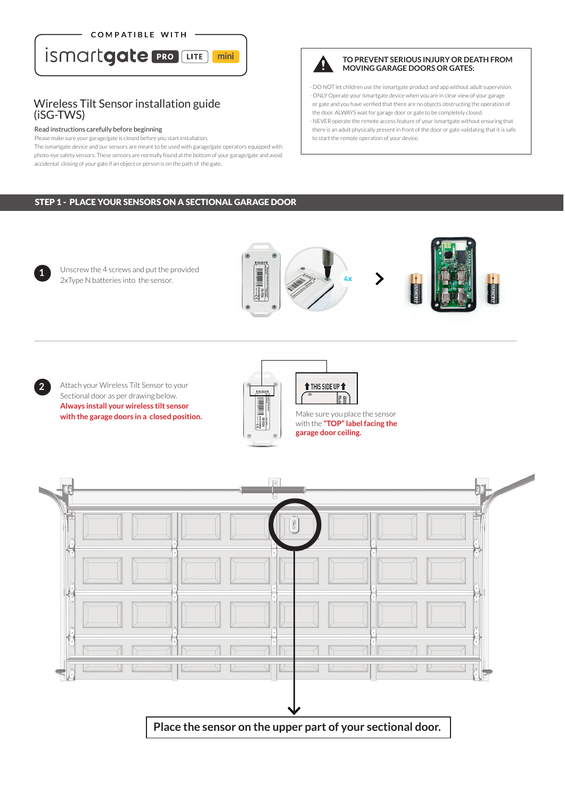COMPATIBLE WITH



## Wireless Tilt Sensor installation guide (iSG-TWS)

#### Read instructions carefully before beginning

**1**

**2**

Please make sure your garage/gate is closed before you start installation.

The ismartgate device and our sensors are meant to be used with garage/gate operators equipped with photo-eye safety sensors. These sensors are normally found at the bottom of your garage/gate and avoid accidental closing of your gate if an object or person is on the path of the gate.

## STEP 1 - PLACE YOUR SENSORS ON A SECTIONAL GARAGE DOOR

Attach your Wireless Tilt Sensor to your

Unscrew the 4 screws and put the provided 2xType N batteries into the sensor.

Sectional door as per drawing below. **Always install your wireless tilt sensor Always install your wireless tilt sensor**<br> **with the garage doors in a closed position.**<br>
Wake sure you place the sensor<br>
with the "**TOP" label facing the** 



 $\sqrt{2}$ 

**Place the sensor on the upper part of your sectional door.**



### **TO PREVENT SERIOUS INJURY OR DEATH FROM MOVING GARAGE DOORS OR GATES:**

· DO NOT let children use the ismartgate product and app without adult supervision. · ONLY Operate your ismartgate device when you are in clear view of your garage or gate and you have verified that there are no objects obstructing the operation of the door. ALWAYS wait for garage door or gate to be completely closed. · NEVER operate the remote access feature of your ismartgate without ensuring that

 there is an adult physically present in front of the door or gate validating that it is safe to start the remote operation of your device.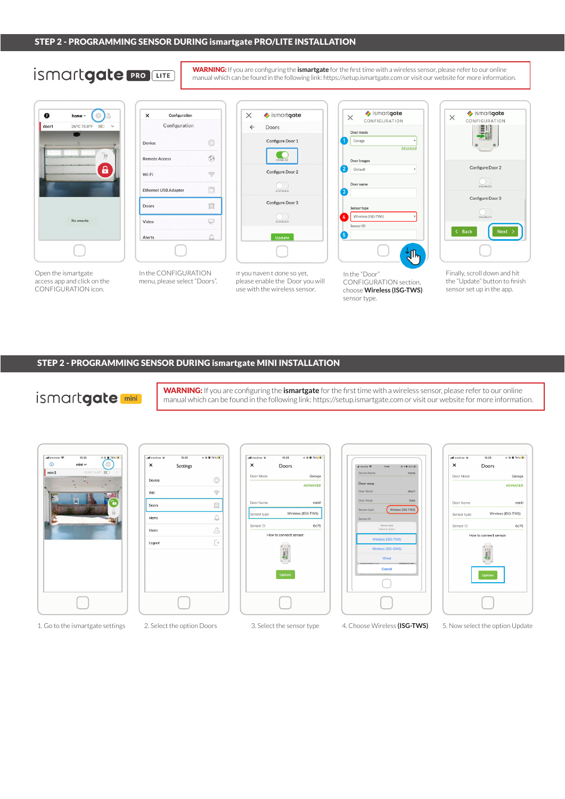# **İSMArtgate PRO LITE**

WARNING: If you are configuring the **ismartgate** for the first time with a wireless sensor, please refer to our online manual which can be found in the following link: https://setup.ismartgate.com or visit our website for more information.



Open the ismartgate access app and click on the CONFIGURATION icon.



In the CONFIGURATION menu, please select "Doors".



If you haven't done so yet, please enable the Door you will use with the wireless sensor.



In the "Door" CONFIGURATION section, choose **Wireless (ISG-TWS)** sensor type.



Finally, scroll down and hit the "Update" button to finish sensor set up in the app.

### STEP 2 - PROGRAMMING SENSOR DURING ismartgate MINI INSTALLATION

## ismartgate

WARNING: If you are configuring the **ismartgate** for the first time with a wireless sensor, please refer to our online manual which can be found in the following link: https://setup.ismartgate.com or visit our website for more information.

| all movistar | 15:35 | 907887                  |
|--------------|-------|-------------------------|
| $\circ$      | mini  | Ô                       |
| mini1        |       | 13.8°C 56.8°F III<br>z, |
|              | M     |                         |
|              |       |                         |
|              |       |                         |
|              |       | 'n                      |
|              |       |                         |
|              |       |                         |
|              |       |                         |
|              |       |                         |
|              |       |                         |
|              |       |                         |
|              |       |                         |
|              |       |                         |
|              |       |                         |
|              |       |                         |
|              |       |                         |
|              |       |                         |
|              |       |                         |







 $\mathbf{\times}$ Doors Door Mode Garage ADVANCED Door Nam mini1 Wireless (ISG-TWS) Sensor type Sensor ID 6c75 How to connect sensor  $\frac{1}{2}$